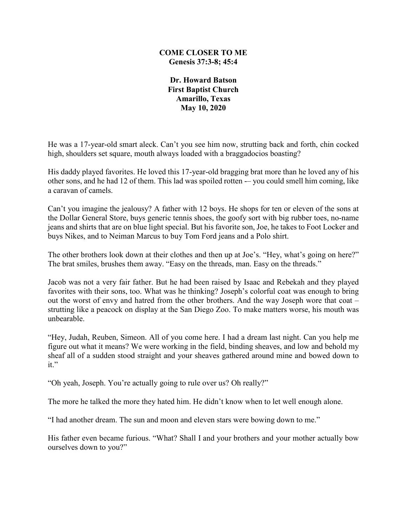## **COME CLOSER TO ME Genesis 37:3-8; 45:4**

**Dr. Howard Batson First Baptist Church Amarillo, Texas May 10, 2020**

He was a 17-year-old smart aleck. Can't you see him now, strutting back and forth, chin cocked high, shoulders set square, mouth always loaded with a braggadocios boasting?

His daddy played favorites. He loved this 17-year-old bragging brat more than he loved any of his other sons, and he had 12 of them. This lad was spoiled rotten -– you could smell him coming, like a caravan of camels.

Can't you imagine the jealousy? A father with 12 boys. He shops for ten or eleven of the sons at the Dollar General Store, buys generic tennis shoes, the goofy sort with big rubber toes, no-name jeans and shirts that are on blue light special. But his favorite son, Joe, he takes to Foot Locker and buys Nikes, and to Neiman Marcus to buy Tom Ford jeans and a Polo shirt.

The other brothers look down at their clothes and then up at Joe's. "Hey, what's going on here?" The brat smiles, brushes them away. "Easy on the threads, man. Easy on the threads."

Jacob was not a very fair father. But he had been raised by Isaac and Rebekah and they played favorites with their sons, too. What was he thinking? Joseph's colorful coat was enough to bring out the worst of envy and hatred from the other brothers. And the way Joseph wore that coat – strutting like a peacock on display at the San Diego Zoo. To make matters worse, his mouth was unbearable.

"Hey, Judah, Reuben, Simeon. All of you come here. I had a dream last night. Can you help me figure out what it means? We were working in the field, binding sheaves, and low and behold my sheaf all of a sudden stood straight and your sheaves gathered around mine and bowed down to it."

"Oh yeah, Joseph. You're actually going to rule over us? Oh really?"

The more he talked the more they hated him. He didn't know when to let well enough alone.

"I had another dream. The sun and moon and eleven stars were bowing down to me."

His father even became furious. "What? Shall I and your brothers and your mother actually bow ourselves down to you?"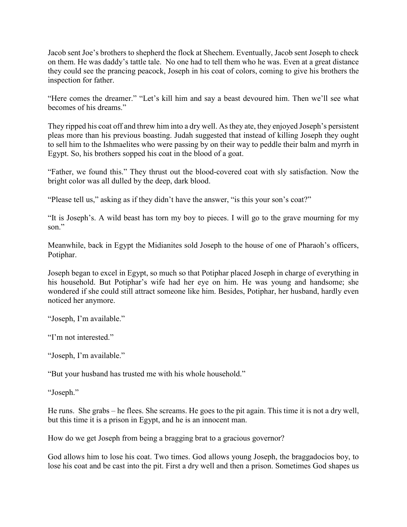Jacob sent Joe's brothers to shepherd the flock at Shechem. Eventually, Jacob sent Joseph to check on them. He was daddy's tattle tale. No one had to tell them who he was. Even at a great distance they could see the prancing peacock, Joseph in his coat of colors, coming to give his brothers the inspection for father.

"Here comes the dreamer." "Let's kill him and say a beast devoured him. Then we'll see what becomes of his dreams."

They ripped his coat off and threw him into a dry well. As they ate, they enjoyed Joseph's persistent pleas more than his previous boasting. Judah suggested that instead of killing Joseph they ought to sell him to the Ishmaelites who were passing by on their way to peddle their balm and myrrh in Egypt. So, his brothers sopped his coat in the blood of a goat.

"Father, we found this." They thrust out the blood-covered coat with sly satisfaction. Now the bright color was all dulled by the deep, dark blood.

"Please tell us," asking as if they didn't have the answer, "is this your son's coat?"

"It is Joseph's. A wild beast has torn my boy to pieces. I will go to the grave mourning for my son."

Meanwhile, back in Egypt the Midianites sold Joseph to the house of one of Pharaoh's officers, Potiphar.

Joseph began to excel in Egypt, so much so that Potiphar placed Joseph in charge of everything in his household. But Potiphar's wife had her eye on him. He was young and handsome; she wondered if she could still attract someone like him. Besides, Potiphar, her husband, hardly even noticed her anymore.

"Joseph, I'm available."

"I'm not interested."

"Joseph, I'm available."

"But your husband has trusted me with his whole household."

"Joseph."

He runs. She grabs – he flees. She screams. He goes to the pit again. This time it is not a dry well, but this time it is a prison in Egypt, and he is an innocent man.

How do we get Joseph from being a bragging brat to a gracious governor?

God allows him to lose his coat. Two times. God allows young Joseph, the braggadocios boy, to lose his coat and be cast into the pit. First a dry well and then a prison. Sometimes God shapes us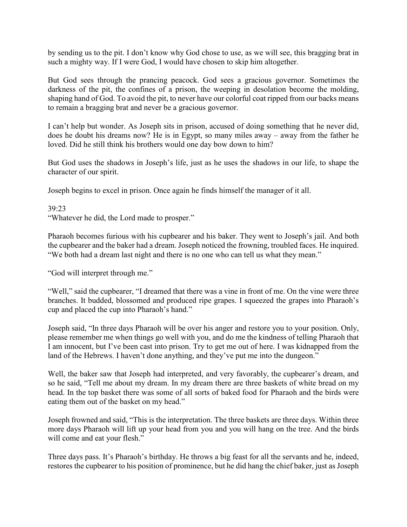by sending us to the pit. I don't know why God chose to use, as we will see, this bragging brat in such a mighty way. If I were God, I would have chosen to skip him altogether.

But God sees through the prancing peacock. God sees a gracious governor. Sometimes the darkness of the pit, the confines of a prison, the weeping in desolation become the molding, shaping hand of God. To avoid the pit, to never have our colorful coat ripped from our backs means to remain a bragging brat and never be a gracious governor.

I can't help but wonder. As Joseph sits in prison, accused of doing something that he never did, does he doubt his dreams now? He is in Egypt, so many miles away – away from the father he loved. Did he still think his brothers would one day bow down to him?

But God uses the shadows in Joseph's life, just as he uses the shadows in our life, to shape the character of our spirit.

Joseph begins to excel in prison. Once again he finds himself the manager of it all.

## 39:23

"Whatever he did, the Lord made to prosper."

Pharaoh becomes furious with his cupbearer and his baker. They went to Joseph's jail. And both the cupbearer and the baker had a dream. Joseph noticed the frowning, troubled faces. He inquired. "We both had a dream last night and there is no one who can tell us what they mean."

"God will interpret through me."

"Well," said the cupbearer, "I dreamed that there was a vine in front of me. On the vine were three branches. It budded, blossomed and produced ripe grapes. I squeezed the grapes into Pharaoh's cup and placed the cup into Pharaoh's hand."

Joseph said, "In three days Pharaoh will be over his anger and restore you to your position. Only, please remember me when things go well with you, and do me the kindness of telling Pharaoh that I am innocent, but I've been cast into prison. Try to get me out of here. I was kidnapped from the land of the Hebrews. I haven't done anything, and they've put me into the dungeon."

Well, the baker saw that Joseph had interpreted, and very favorably, the cupbearer's dream, and so he said, "Tell me about my dream. In my dream there are three baskets of white bread on my head. In the top basket there was some of all sorts of baked food for Pharaoh and the birds were eating them out of the basket on my head."

Joseph frowned and said, "This is the interpretation. The three baskets are three days. Within three more days Pharaoh will lift up your head from you and you will hang on the tree. And the birds will come and eat your flesh."

Three days pass. It's Pharaoh's birthday. He throws a big feast for all the servants and he, indeed, restores the cupbearer to his position of prominence, but he did hang the chief baker, just as Joseph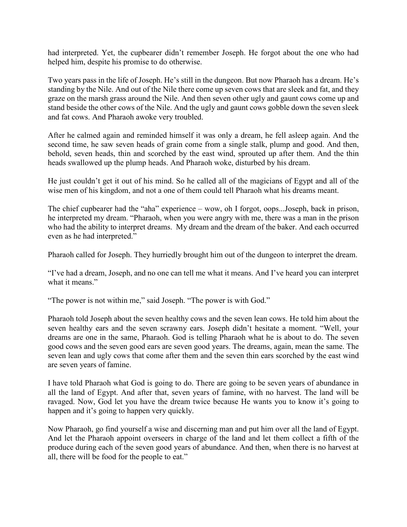had interpreted. Yet, the cupbearer didn't remember Joseph. He forgot about the one who had helped him, despite his promise to do otherwise.

Two years pass in the life of Joseph. He's still in the dungeon. But now Pharaoh has a dream. He's standing by the Nile. And out of the Nile there come up seven cows that are sleek and fat, and they graze on the marsh grass around the Nile. And then seven other ugly and gaunt cows come up and stand beside the other cows of the Nile. And the ugly and gaunt cows gobble down the seven sleek and fat cows. And Pharaoh awoke very troubled.

After he calmed again and reminded himself it was only a dream, he fell asleep again. And the second time, he saw seven heads of grain come from a single stalk, plump and good. And then, behold, seven heads, thin and scorched by the east wind, sprouted up after them. And the thin heads swallowed up the plump heads. And Pharaoh woke, disturbed by his dream.

He just couldn't get it out of his mind. So he called all of the magicians of Egypt and all of the wise men of his kingdom, and not a one of them could tell Pharaoh what his dreams meant.

The chief cupbearer had the "aha" experience – wow, oh I forgot, oops...Joseph, back in prison, he interpreted my dream. "Pharaoh, when you were angry with me, there was a man in the prison who had the ability to interpret dreams. My dream and the dream of the baker. And each occurred even as he had interpreted."

Pharaoh called for Joseph. They hurriedly brought him out of the dungeon to interpret the dream.

"I've had a dream, Joseph, and no one can tell me what it means. And I've heard you can interpret what it means."

"The power is not within me," said Joseph. "The power is with God."

Pharaoh told Joseph about the seven healthy cows and the seven lean cows. He told him about the seven healthy ears and the seven scrawny ears. Joseph didn't hesitate a moment. "Well, your dreams are one in the same, Pharaoh. God is telling Pharaoh what he is about to do. The seven good cows and the seven good ears are seven good years. The dreams, again, mean the same. The seven lean and ugly cows that come after them and the seven thin ears scorched by the east wind are seven years of famine.

I have told Pharaoh what God is going to do. There are going to be seven years of abundance in all the land of Egypt. And after that, seven years of famine, with no harvest. The land will be ravaged. Now, God let you have the dream twice because He wants you to know it's going to happen and it's going to happen very quickly.

Now Pharaoh, go find yourself a wise and discerning man and put him over all the land of Egypt. And let the Pharaoh appoint overseers in charge of the land and let them collect a fifth of the produce during each of the seven good years of abundance. And then, when there is no harvest at all, there will be food for the people to eat."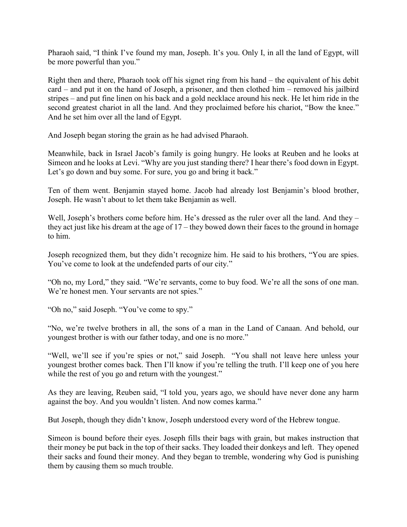Pharaoh said, "I think I've found my man, Joseph. It's you. Only I, in all the land of Egypt, will be more powerful than you."

Right then and there, Pharaoh took off his signet ring from his hand – the equivalent of his debit card – and put it on the hand of Joseph, a prisoner, and then clothed him – removed his jailbird stripes – and put fine linen on his back and a gold necklace around his neck. He let him ride in the second greatest chariot in all the land. And they proclaimed before his chariot, "Bow the knee." And he set him over all the land of Egypt.

And Joseph began storing the grain as he had advised Pharaoh.

Meanwhile, back in Israel Jacob's family is going hungry. He looks at Reuben and he looks at Simeon and he looks at Levi. "Why are you just standing there? I hear there's food down in Egypt. Let's go down and buy some. For sure, you go and bring it back."

Ten of them went. Benjamin stayed home. Jacob had already lost Benjamin's blood brother, Joseph. He wasn't about to let them take Benjamin as well.

Well, Joseph's brothers come before him. He's dressed as the ruler over all the land. And they – they act just like his dream at the age of 17 – they bowed down their faces to the ground in homage to him.

Joseph recognized them, but they didn't recognize him. He said to his brothers, "You are spies. You've come to look at the undefended parts of our city."

"Oh no, my Lord," they said. "We're servants, come to buy food. We're all the sons of one man. We're honest men. Your servants are not spies."

"Oh no," said Joseph. "You've come to spy."

"No, we're twelve brothers in all, the sons of a man in the Land of Canaan. And behold, our youngest brother is with our father today, and one is no more."

"Well, we'll see if you're spies or not," said Joseph. "You shall not leave here unless your youngest brother comes back. Then I'll know if you're telling the truth. I'll keep one of you here while the rest of you go and return with the youngest."

As they are leaving, Reuben said, "I told you, years ago, we should have never done any harm against the boy. And you wouldn't listen. And now comes karma."

But Joseph, though they didn't know, Joseph understood every word of the Hebrew tongue.

Simeon is bound before their eyes. Joseph fills their bags with grain, but makes instruction that their money be put back in the top of their sacks. They loaded their donkeys and left. They opened their sacks and found their money. And they began to tremble, wondering why God is punishing them by causing them so much trouble.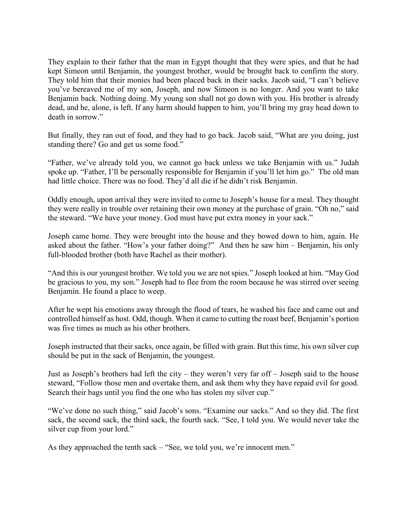They explain to their father that the man in Egypt thought that they were spies, and that he had kept Simeon until Benjamin, the youngest brother, would be brought back to confirm the story. They told him that their monies had been placed back in their sacks. Jacob said, "I can't believe you've bereaved me of my son, Joseph, and now Simeon is no longer. And you want to take Benjamin back. Nothing doing. My young son shall not go down with you. His brother is already dead, and he, alone, is left. If any harm should happen to him, you'll bring my gray head down to death in sorrow."

But finally, they ran out of food, and they had to go back. Jacob said, "What are you doing, just standing there? Go and get us some food."

"Father, we've already told you, we cannot go back unless we take Benjamin with us." Judah spoke up. "Father, I'll be personally responsible for Benjamin if you'll let him go." The old man had little choice. There was no food. They'd all die if he didn't risk Benjamin.

Oddly enough, upon arrival they were invited to come to Joseph's house for a meal. They thought they were really in trouble over retaining their own money at the purchase of grain. "Oh no," said the steward. "We have your money. God must have put extra money in your sack."

Joseph came home. They were brought into the house and they bowed down to him, again. He asked about the father. "How's your father doing?" And then he saw him – Benjamin, his only full-blooded brother (both have Rachel as their mother).

"And this is our youngest brother. We told you we are not spies." Joseph looked at him. "May God be gracious to you, my son." Joseph had to flee from the room because he was stirred over seeing Benjamin. He found a place to weep.

After he wept his emotions away through the flood of tears, he washed his face and came out and controlled himself as host. Odd, though. When it came to cutting the roast beef, Benjamin's portion was five times as much as his other brothers.

Joseph instructed that their sacks, once again, be filled with grain. But this time, his own silver cup should be put in the sack of Benjamin, the youngest.

Just as Joseph's brothers had left the city – they weren't very far off – Joseph said to the house steward, "Follow those men and overtake them, and ask them why they have repaid evil for good. Search their bags until you find the one who has stolen my silver cup."

"We've done no such thing," said Jacob's sons. "Examine our sacks." And so they did. The first sack, the second sack, the third sack, the fourth sack. "See, I told you. We would never take the silver cup from your lord."

As they approached the tenth sack – "See, we told you, we're innocent men."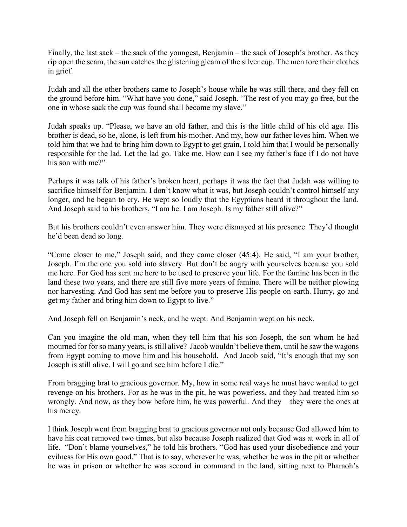Finally, the last sack – the sack of the youngest, Benjamin – the sack of Joseph's brother. As they rip open the seam, the sun catches the glistening gleam of the silver cup. The men tore their clothes in grief.

Judah and all the other brothers came to Joseph's house while he was still there, and they fell on the ground before him. "What have you done," said Joseph. "The rest of you may go free, but the one in whose sack the cup was found shall become my slave."

Judah speaks up. "Please, we have an old father, and this is the little child of his old age. His brother is dead, so he, alone, is left from his mother. And my, how our father loves him. When we told him that we had to bring him down to Egypt to get grain, I told him that I would be personally responsible for the lad. Let the lad go. Take me. How can I see my father's face if I do not have his son with me?"

Perhaps it was talk of his father's broken heart, perhaps it was the fact that Judah was willing to sacrifice himself for Benjamin. I don't know what it was, but Joseph couldn't control himself any longer, and he began to cry. He wept so loudly that the Egyptians heard it throughout the land. And Joseph said to his brothers, "I am he. I am Joseph. Is my father still alive?"

But his brothers couldn't even answer him. They were dismayed at his presence. They'd thought he'd been dead so long.

"Come closer to me," Joseph said, and they came closer (45:4). He said, "I am your brother, Joseph. I'm the one you sold into slavery. But don't be angry with yourselves because you sold me here. For God has sent me here to be used to preserve your life. For the famine has been in the land these two years, and there are still five more years of famine. There will be neither plowing nor harvesting. And God has sent me before you to preserve His people on earth. Hurry, go and get my father and bring him down to Egypt to live."

And Joseph fell on Benjamin's neck, and he wept. And Benjamin wept on his neck.

Can you imagine the old man, when they tell him that his son Joseph, the son whom he had mourned for for so many years, is still alive? Jacob wouldn't believe them, until he saw the wagons from Egypt coming to move him and his household. And Jacob said, "It's enough that my son Joseph is still alive. I will go and see him before I die."

From bragging brat to gracious governor. My, how in some real ways he must have wanted to get revenge on his brothers. For as he was in the pit, he was powerless, and they had treated him so wrongly. And now, as they bow before him, he was powerful. And they – they were the ones at his mercy.

I think Joseph went from bragging brat to gracious governor not only because God allowed him to have his coat removed two times, but also because Joseph realized that God was at work in all of life. "Don't blame yourselves," he told his brothers. "God has used your disobedience and your evilness for His own good." That is to say, wherever he was, whether he was in the pit or whether he was in prison or whether he was second in command in the land, sitting next to Pharaoh's